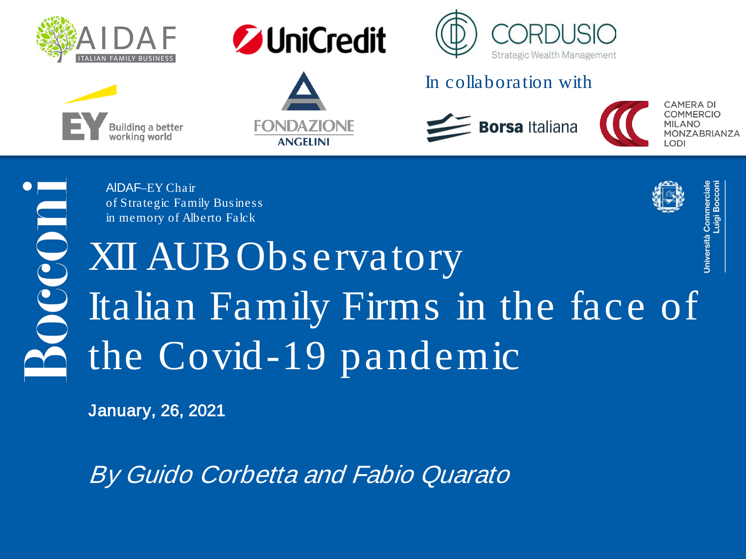





**FONDAZIONE** 

**ANGELINI** 



#### In collaboration with



**CAMERA DI COMMERCIO MILANO** MONZABRIANZA וחס ו



AlDAF–EY Chair of Strategic Family Business in memory of Alberto Falck

XII AUB Observatory Italian Family Firms in the face of the Covid-19 pandemic

January, 26, 2021

By Guido Corbetta and Fabio Quarato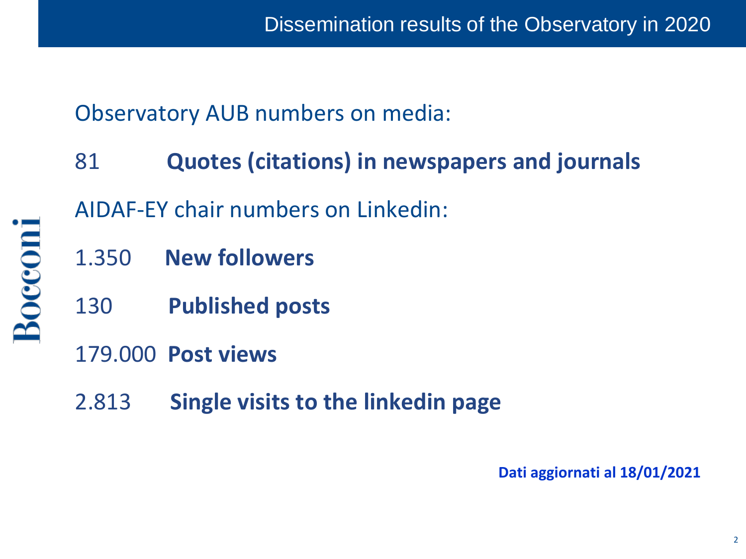Observatory AUB numbers on media:

- 81 **Quotes (citations) in newspapers and journals** AIDAF-EY chair numbers on Linkedin:
- 1.350 **New followers**
- 130 **Published posts**
- 179.000 **Post views**

Bocconi

2.813 **Single visits to the linkedin page**

**Dati aggiornati al 18/01/2021**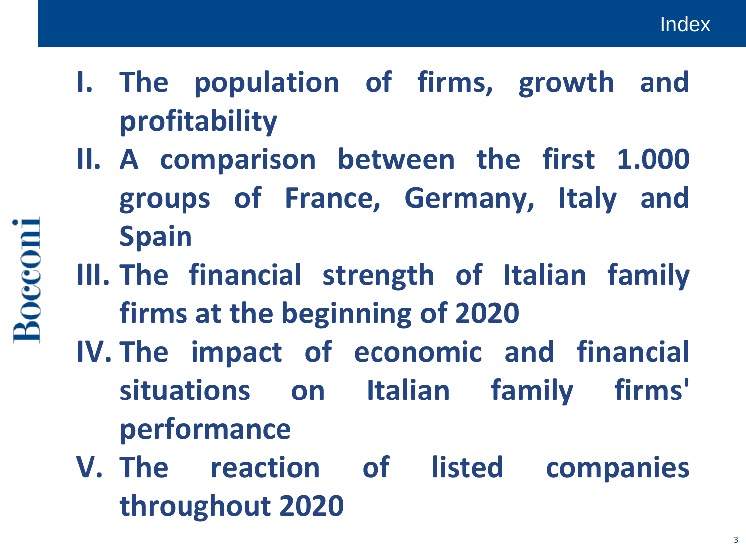- **I. The population of firms, growth and profitability**
- **II. A comparison between the first 1.000 groups of France, Germany, Italy and Spain**
- **III. The financial strength of Italian family firms at the beginning of 2020**
- **IV. The impact of economic and financial situations on Italian family firms' performance**
- **V. The reaction of listed companies throughout 2020**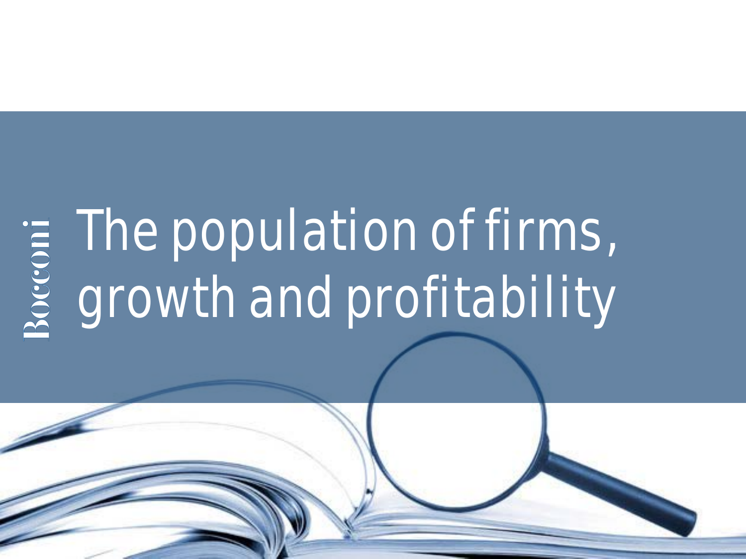# The population of firms, growth and profitability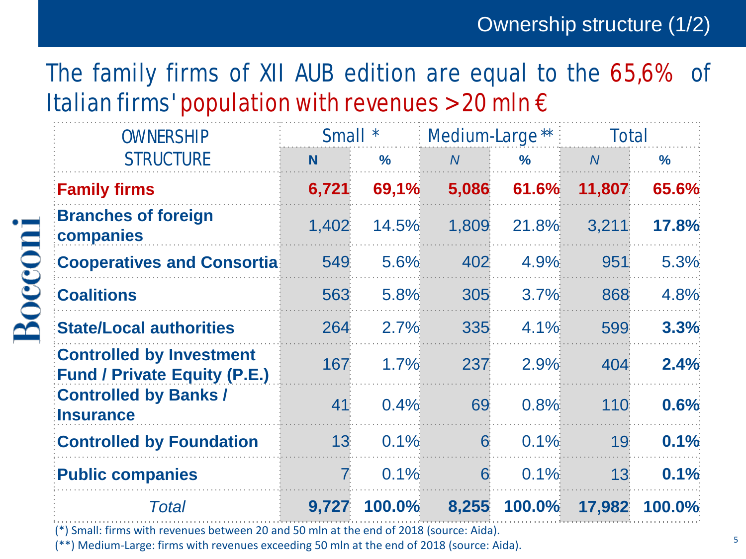# The family firms of XII AUB edition are equal to the 65,6% of Italian firms' population with revenues > 20 mln  $\epsilon$

| <b>OWNERSHIP</b>                                                       | Small *        |               | Medium-Large** |               | <b>Total</b>   |               |  |
|------------------------------------------------------------------------|----------------|---------------|----------------|---------------|----------------|---------------|--|
| <b>STRUCTURE</b>                                                       | <b>N</b>       | $\frac{9}{6}$ | $\overline{N}$ | $\frac{9}{6}$ | $\overline{N}$ | $\frac{9}{6}$ |  |
| <b>Family firms</b>                                                    | 6,721          | 69,1%         | 5,086          | 61.6%         | 11,807         | 65.6%         |  |
| <b>Branches of foreign</b><br>companies                                | 1,402          | 14.5%         | 1,809          | 21.8%         | 3,211          | 17.8%         |  |
| <b>Cooperatives and Consortia</b>                                      | 549            | 5.6%          | 402            | 4.9%          | 951            | 5.3%          |  |
| <b>Coalitions</b>                                                      | 563            | 5.8%          | 305            | 3.7%          | 868            | 4.8%          |  |
| <b>State/Local authorities</b>                                         | 264            | 2.7%          | 335            | 4.1%          | 599            | 3.3%          |  |
| <b>Controlled by Investment</b><br><b>Fund / Private Equity (P.E.)</b> | 167            | 1.7%          | 237            | 2.9%          | 404            | 2.4%          |  |
| <b>Controlled by Banks /</b><br><b>Insurance</b>                       | 41             | 0.4%          | 69             | 0.8%          | 110            | 0.6%          |  |
| <b>Controlled by Foundation</b>                                        | 13             | 0.1%          | 6              | 0.1%          | 19             | 0.1%          |  |
| <b>Public companies</b>                                                | $\overline{7}$ | 0.1%          | 6              | 0.1%          | 13             | 0.1%          |  |
| Total                                                                  | 9,727          | 100.0%        | 8,255          | <b>100.0%</b> | 17,982         | 100.0%        |  |

(\*) Small: firms with revenues between 20 and 50 mln at the end of 2018 (source: Aida).

**Bocconi** 

(\*\*) Medium-Large: firms with revenues exceeding 50 mln at the end of 2018 (source: Aida).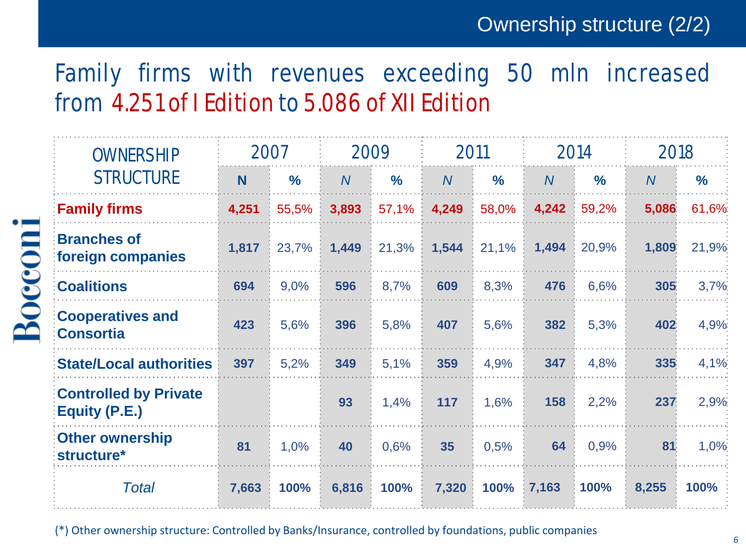### Family firms with revenues exceeding 50 mln increased from 4.251 of I Edition to 5.086 of XII Edition

| <b>OWNERSHIP</b>                              | 2007  |               |                | 2009          |                | 2011          |                | 2014          |                | 2018          |
|-----------------------------------------------|-------|---------------|----------------|---------------|----------------|---------------|----------------|---------------|----------------|---------------|
| <b>STRUCTURE</b>                              | N     | $\frac{0}{0}$ | $\overline{N}$ | $\frac{0}{0}$ | $\overline{N}$ | $\frac{0}{0}$ | $\overline{N}$ | $\frac{0}{0}$ | $\overline{N}$ | $\frac{9}{6}$ |
| <b>Family firms</b>                           | 4,251 | 55,5%         | 3,893          | 57,1%         | 4,249          | 58,0%         | 4,242          | 59,2%         | 5,086          | 61,6%         |
| <b>Branches of</b><br>foreign companies       | 1,817 | 23,7%         | 1,449          | 21,3%         | 1,544          | 21,1%         | 1,494          | 20,9%         | 1,809          | 21,9%         |
| <b>Coalitions</b>                             | 694   | 9,0%          | 596            | 8,7%          | 609            | 8,3%          | 476            | 6,6%          | 305            | 3,7%          |
| <b>Cooperatives and</b><br><b>Consortia</b>   | 423   | 5,6%          | 396            | 5,8%          | 407            | 5,6%          | 382            | 5,3%          | 402            | 4,9%          |
| <b>State/Local authorities</b>                | 397   | 5,2%          | 349            | 5,1%          | 359            | 4,9%          | 347            | 4,8%          | 335            | 4,1%          |
| <b>Controlled by Private</b><br>Equity (P.E.) |       |               | 93             | 1,4%          | 117            | 1,6%          | 158            | 2,2%          | 237            | 2,9%          |
| <b>Other ownership</b><br>structure*          | 81    | 1,0%          | 40             | 0,6%          | 35             | 0,5%          | 64             | 0,9%          | 81             | 1,0%          |
| <b>Total</b>                                  | 7,663 | 100%          | 6,816          | 100%          | 7,320          | 100%          | 7,163          | 100%          | 8,255          | 100%          |

(\*) Other ownership structure: Controlled by Banks/Insurance, controlled by foundations, public companies

Bocconi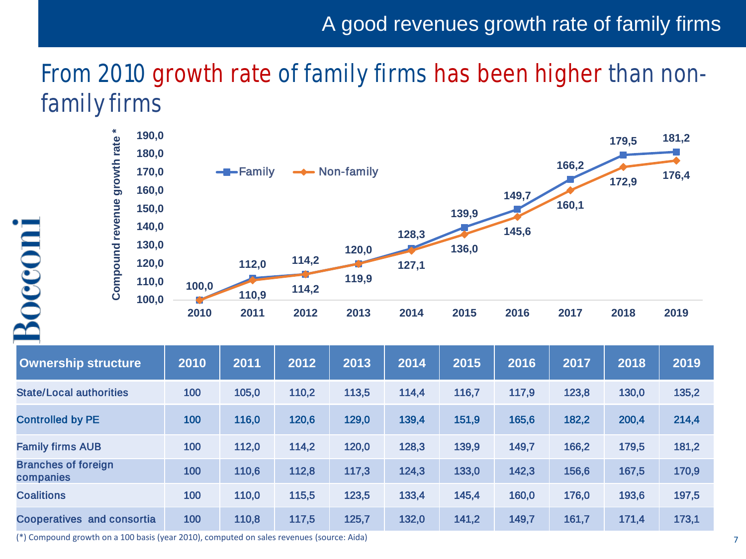### A good revenues growth rate of family firms

# From 2010 growth rate of family firms has been higher than nonfamily firms



| <b>Ownership structure</b>              | 2010 | 2011  | 2012  | 2013  | 2014  | 2015  | 2016  | 2017  | 2018  | 2019  |
|-----------------------------------------|------|-------|-------|-------|-------|-------|-------|-------|-------|-------|
| <b>State/Local authorities</b>          | 100  | 105,0 | 110,2 | 113,5 | 114,4 | 116,7 | 117,9 | 123,8 | 130,0 | 135,2 |
| <b>Controlled by PE</b>                 | 100  | 116,0 | 120,6 | 129,0 | 139,4 | 151,9 | 165,6 | 182,2 | 200,4 | 214,4 |
| <b>Family firms AUB</b>                 | 100  | 112,0 | 114,2 | 120,0 | 128,3 | 139,9 | 149,7 | 166,2 | 179,5 | 181,2 |
| <b>Branches of foreign</b><br>companies | 100  | 110,6 | 112,8 | 117,3 | 124,3 | 133,0 | 142,3 | 156,6 | 167,5 | 170,9 |
| <b>Coalitions</b>                       | 100  | 110,0 | 115,5 | 123,5 | 133,4 | 145,4 | 160,0 | 176,0 | 193,6 | 197,5 |
| <b>Cooperatives and consortia</b>       | 100  | 110,8 | 117,5 | 125,7 | 132,0 | 141,2 | 149,7 | 161,7 | 171,4 | 173,1 |

(\*) Compound growth on a 100 basis (year 2010), computed on sales revenues (source: Aida)

Boccom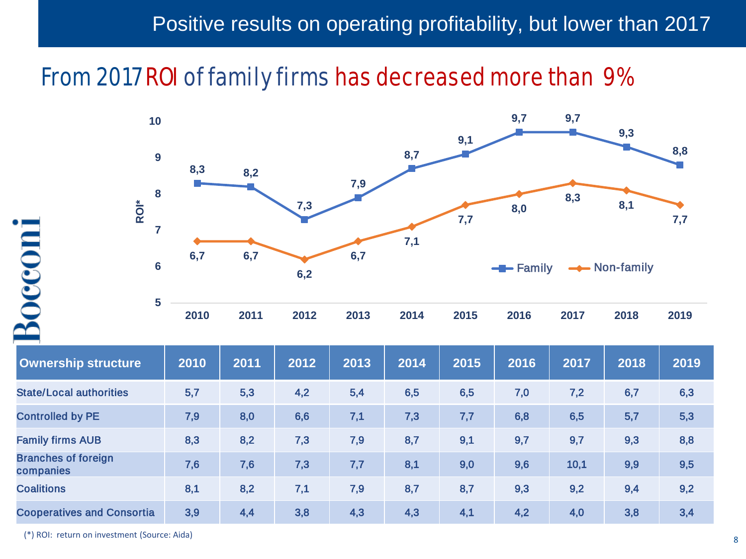### Positive results on operating profitability, but lower than 2017

### From 2017 ROI of family firms has decreased more than 9%



| <b>Ownership structure</b>              | 2010 | 2011 | 2012 | 2013 | 2014 | 2015 | 2016 | 2017 | 2018 | 2019 |
|-----------------------------------------|------|------|------|------|------|------|------|------|------|------|
| <b>State/Local authorities</b>          | 5,7  | 5,3  | 4,2  | 5,4  | 6,5  | 6,5  | 7,0  | 7,2  | 6,7  | 6,3  |
| <b>Controlled by PE</b>                 | 7,9  | 8,0  | 6,6  | 7,1  | 7,3  | 7,7  | 6,8  | 6,5  | 5,7  | 5,3  |
| <b>Family firms AUB</b>                 | 8,3  | 8,2  | 7,3  | 7,9  | 8,7  | 9,1  | 9,7  | 9,7  | 9,3  | 8,8  |
| <b>Branches of foreign</b><br>companies | 7,6  | 7,6  | 7,3  | 7,7  | 8,1  | 9,0  | 9,6  | 10,1 | 9,9  | 9,5  |
| <b>Coalitions</b>                       | 8,1  | 8,2  | 7,1  | 7,9  | 8,7  | 8,7  | 9,3  | 9,2  | 9,4  | 9,2  |
| <b>Cooperatives and Consortia</b>       | 3,9  | 4,4  | 3,8  | 4,3  | 4,3  | 4,1  | 4,2  | 4,0  | 3,8  | 3,4  |

(\*) ROI: return on investment (Source: Aida)

Boccom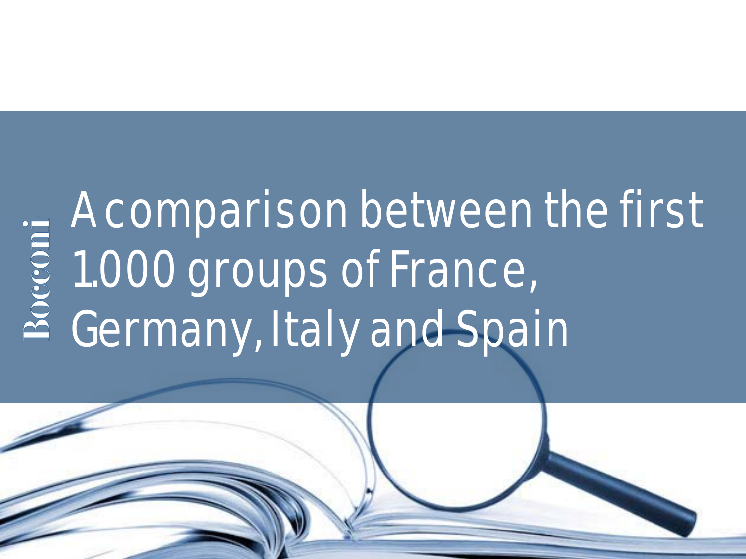# A comparison between the first 1.000 groups of France, Germany, Italy and Spain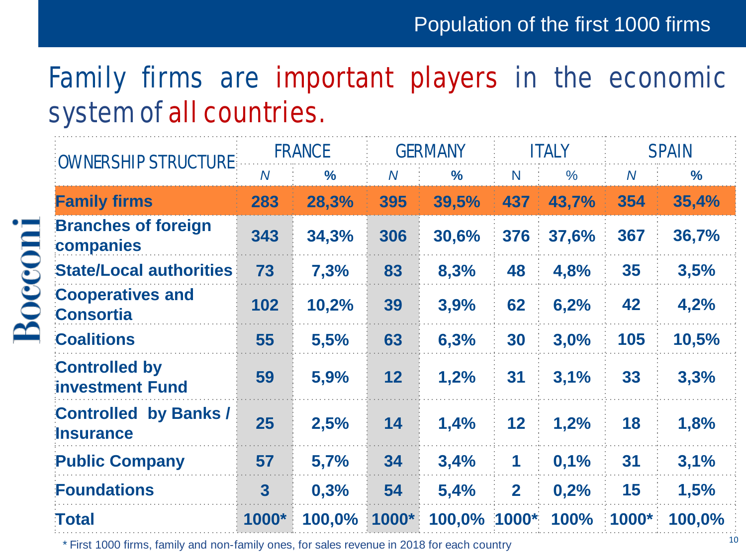# Family firms are important players in the economic system of all countries.

| <b>:OWNERSHIP STRUCTURE:</b>                     | <b>FRANCE</b>  |               | <b>GERMANY</b> |               | <b>ITALY</b> |       | <b>SPAIN</b>   |               |
|--------------------------------------------------|----------------|---------------|----------------|---------------|--------------|-------|----------------|---------------|
|                                                  | $\overline{N}$ | $\frac{9}{6}$ | $\overline{N}$ | $\frac{0}{0}$ | N.           | $\%$  | $\overline{N}$ | $\frac{6}{6}$ |
| <b>Family firms</b>                              | 283            | 28,3%         | 395            | 39,5%         | 437          | 43,7% | 354            | 35,4%         |
| <b>Branches of foreign</b><br>companies          | 343            | 34,3%         | 306            | 30,6%         | 376          | 37,6% | 367            | 36,7%         |
| <b>State/Local authorities</b>                   | 73             | 7,3%          | 83             | 8,3%          | 48           | 4,8%  | 35             | 3,5%          |
| <b>Cooperatives and</b><br><b>Consortia</b>      | 102            | 10,2%         | 39             | 3,9%          | 62           | 6,2%  | 42             | 4,2%          |
| <b>Coalitions</b>                                | 55             | 5,5%          | 63             | 6,3%          | 30           | 3,0%  | 105            | 10,5%         |
| <b>Controlled by</b><br>investment Fund          | 59             | 5,9%          | 12             | 1,2%          | 31           | 3,1%  | 33             | 3,3%          |
| <b>Controlled by Banks /</b><br><b>Insurance</b> | 25             | 2,5%          | 14             | 1,4%          | 12           | 1,2%  | 18             | 1,8%          |
| <b>Public Company</b>                            | 57             | 5,7%          | 34             | 3,4%          | 1            | 0,1%  | 31             | 3,1%          |
| <b>Foundations</b>                               | $\overline{3}$ | 0,3%          | 54             | 5,4%          | $\mathbf{2}$ | 0,2%  | 15             | 1,5%          |
| <b>Total</b>                                     | 1000*          | 100,0%        | 1000*          | 100,0% 1000*  |              | 100%  | 1000*          | 100,0%        |

\* First 1000 firms, family and non-family ones, for sales revenue in 2018 for each country

**Bocconi**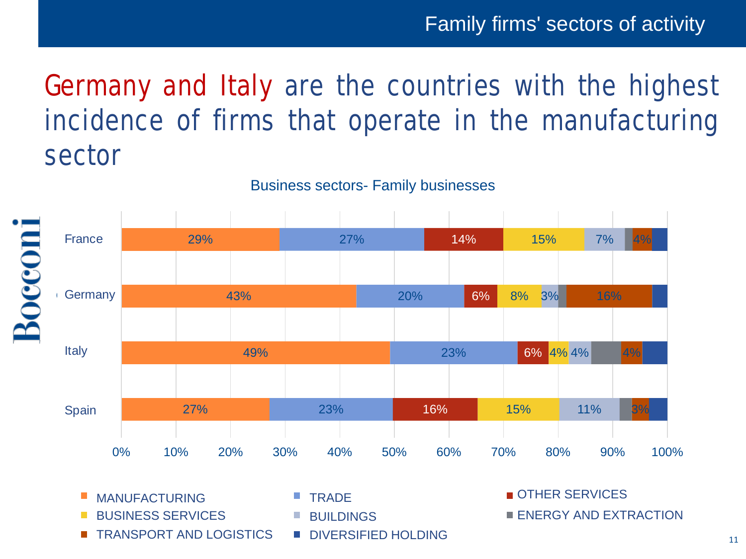### Family firms' sectors of activity

# Germany and Italy are the countries with the highest incidence of firms that operate in the manufacturing sector

Business sectors- Family businesses



- MANUFACTURING **TRADE** TRADE **TRADE TRADE**
- BUSINESS SERVICES ERRESTRIA E BUILDINGS ENERGY AND EXTRACTION BUSINESS SERVICES
- TRANSPORT AND LOGISTICS DIVERSIFIED HOLDING
- **TRADE** BUILDINGS
- DIVERSIFIED HOLDING

OTHER SERVICES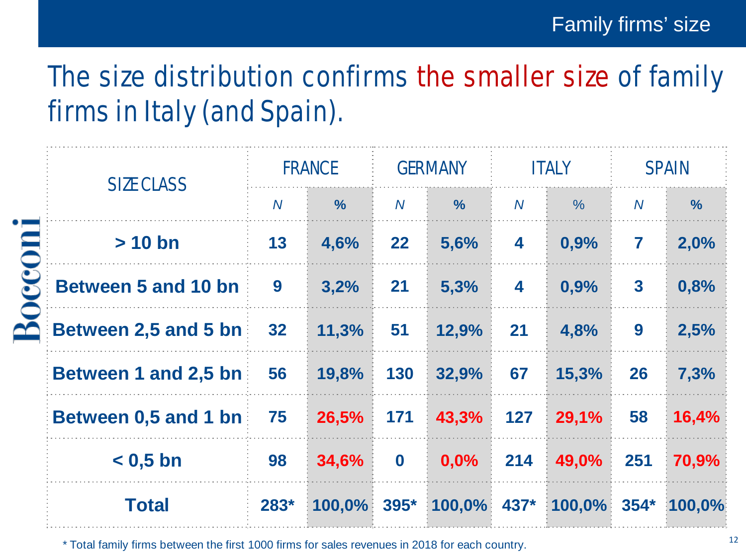# The size distribution confirms the smaller size of family firms in Italy (and Spain).

|                            | <b>FRANCE</b>  |               | <b>GERMANY</b> |               | <b>ITALY</b>   |                       | <b>SPAIN</b>            |               |
|----------------------------|----------------|---------------|----------------|---------------|----------------|-----------------------|-------------------------|---------------|
| <b>SIZE CLASS</b>          | $\overline{N}$ | $\frac{9}{6}$ | $\overline{N}$ | $\frac{0}{0}$ | $\overline{N}$ | $\frac{0}{0}$         | $\overline{N}$          | $\frac{9}{6}$ |
| $> 10$ bn                  | 13             | 4,6%          | 22             | 5,6%          | 4              | 0,9%                  | $\overline{\mathbf{r}}$ | 2,0%          |
| <b>Between 5 and 10 bn</b> | 9              | 3,2%          | 21             | 5,3%          | 4              | 0,9%                  | $\mathbf{3}$            | 0,8%          |
| Between 2,5 and 5 bn       | 32             | 11,3%         | 51             | 12,9%         | 21             | 4,8%                  | 9                       | 2,5%          |
| Between 1 and 2,5 bn       | 56             | 19,8%         | 130            | 32,9%         | 67             | 15,3%                 | 26                      | 7,3%          |
| Between 0,5 and 1 bn       | 75             | 26,5%         | 171            | 43,3%         | 127            | 29,1%                 | 58                      | 16,4%         |
| $< 0.5$ bn                 | 98             | 34,6%         | $\mathbf 0$    | 0,0%          | 214            | 49,0%                 | 251                     | 70,9%         |
| <b>Total</b>               | $283*$         | $100,0\%$     | $395*$         | $100,0\%$     | 437*           | $100,0\%$ 354* 100,0% |                         |               |

\* Total family firms between the first 1000 firms for sales revenues in 2018 for each country.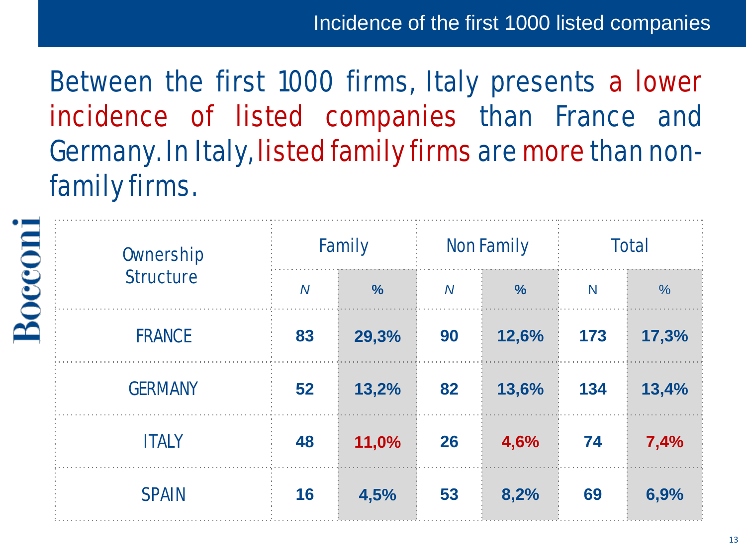Incidence of the first 1000 listed companies

Between the first 1000 firms, Italy presents a lower incidence of listed companies than France and Germany. In Italy, listed family firms are more than nonfamily firms.

|               | <b>Ownership</b> |                | <b>Family</b> |                | <b>Non Family</b> | <b>Total</b> |               |  |
|---------------|------------------|----------------|---------------|----------------|-------------------|--------------|---------------|--|
| <b>200001</b> | <b>Structure</b> | $\overline{N}$ | $\frac{9}{6}$ | $\overline{N}$ | $\frac{9}{6}$     | $\mathsf{N}$ | $\frac{0}{0}$ |  |
|               | <b>FRANCE</b>    | 83             | 29,3%         | 90             | 12,6%             | 173          | 17,3%         |  |
|               | <b>GERMANY</b>   | 52             | 13,2%         | 82             | 13,6%             | 134          | 13,4%         |  |
|               | <b>ITALY</b>     | 48             | 11,0%         | 26             | 4,6%              | 74           | 7,4%          |  |
|               | <b>SPAIN</b>     | 16             | 4,5%          | 53             | 8,2%              | 69           | 6,9%          |  |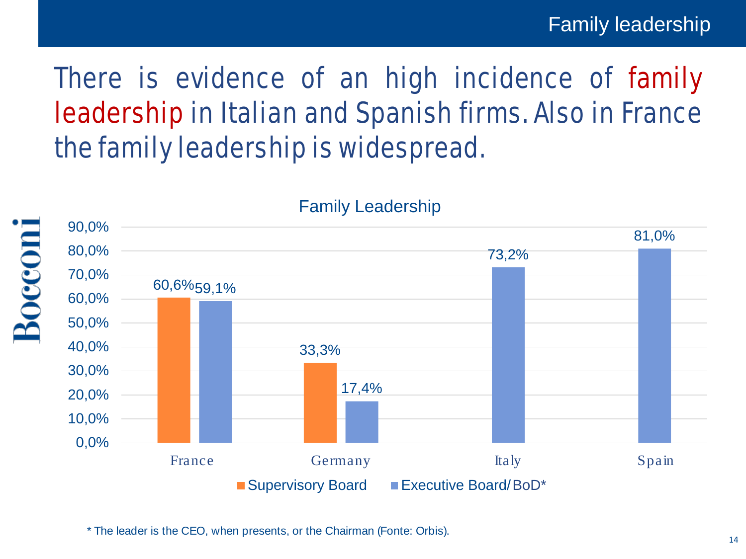# There is evidence of an high incidence of family leadership in Italian and Spanish firms. Also in France the family leadership is widespread.



Family Leadership

\* The leader is the CEO, when presents, or the Chairman (Fonte: Orbis).

Boccon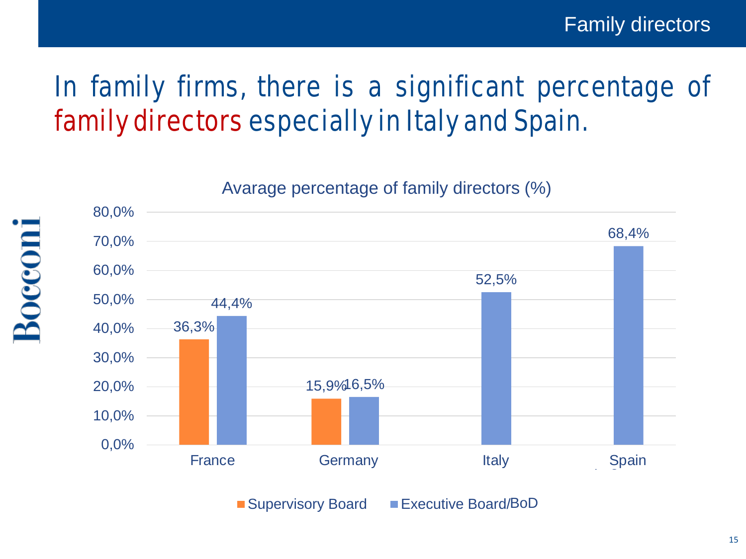# In family firms, there is a significant percentage of family directors especially in Italy and Spain.

Avarage percentage of family directors (%)



Boccom

Supervisory Board Executive Board/BoD

15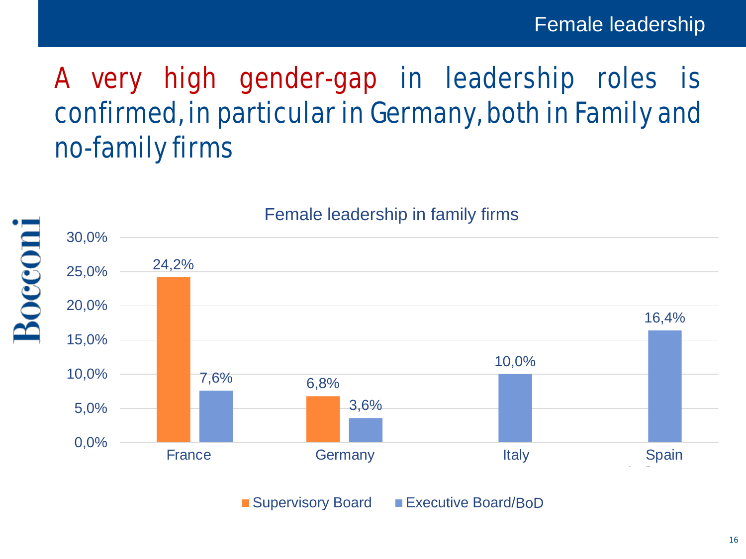# A very high gender-gap in leadership roles is confirmed, in particular in Germany, both in Family and no-family firms

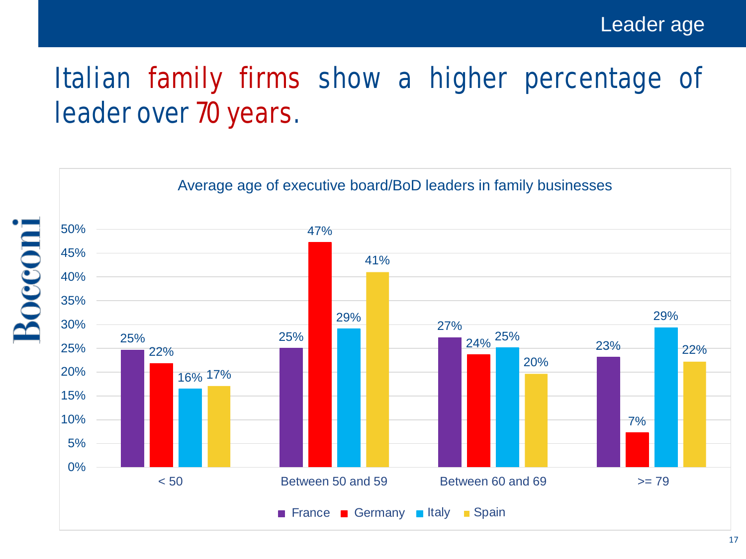# Italian family firms show a higher percentage of leader over 70 years.

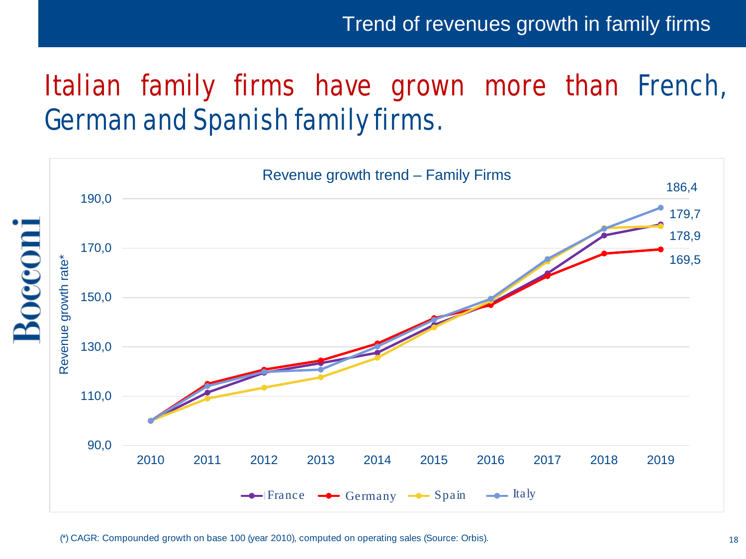# Italian family firms have grown more than French, German and Spanish family firms.

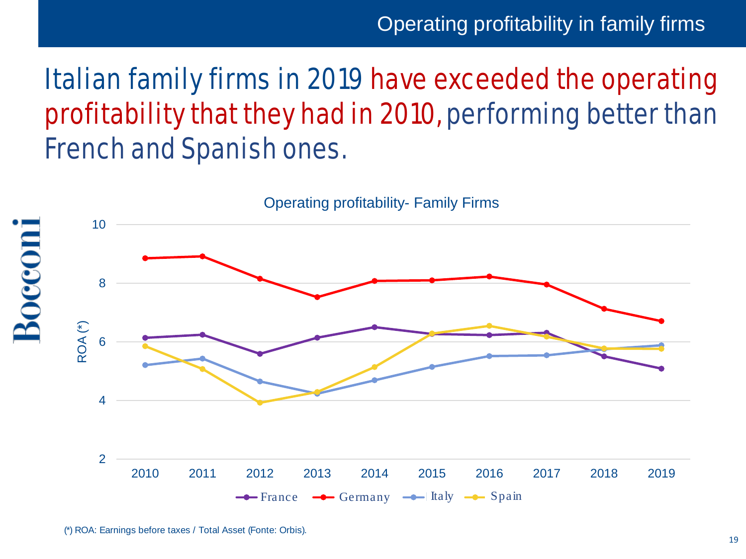Operating profitability in family firms

# Italian family firms in 2019 have exceeded the operating profitability that they had in 2010, performing better than French and Spanish ones.



<sup>(\*)</sup> ROA: Earnings before taxes / Total Asset (Fonte: Orbis).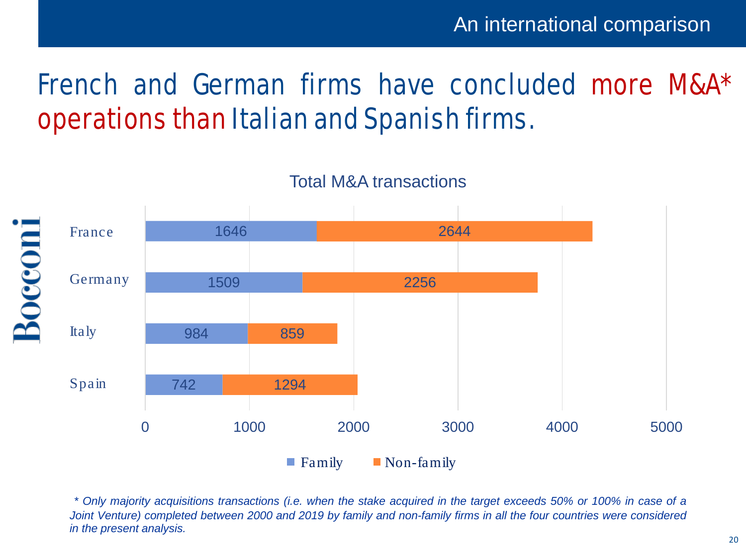# French and German firms have concluded more M&A\* operations than Italian and Spanish firms.



Total M&A transactions

\* Only majority acquisitions transactions (i.e. when the stake acquired in the target exceeds 50% or 100% in case of a Joint Venture) completed between 2000 and 2019 by family and non-family firms in all the four countries were considered *in the present analysis.*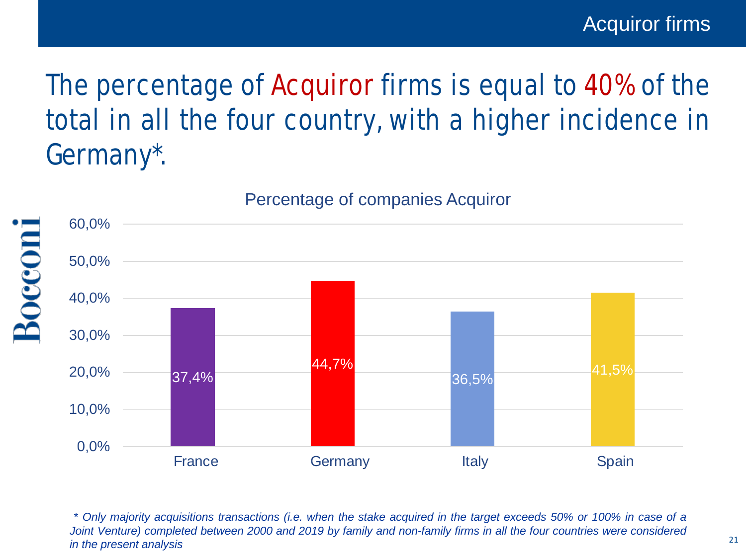# The percentage of Acquiror firms is equal to 40% of the total in all the four country, with a higher incidence in Germany\*.



Boccon

Percentage of companies Acquiror

\* Only majority acquisitions transactions (i.e. when the stake acquired in the target exceeds 50% or 100% in case of a Joint Venture) completed between 2000 and 2019 by family and non-family firms in all the four countries were considered *in the present analysis*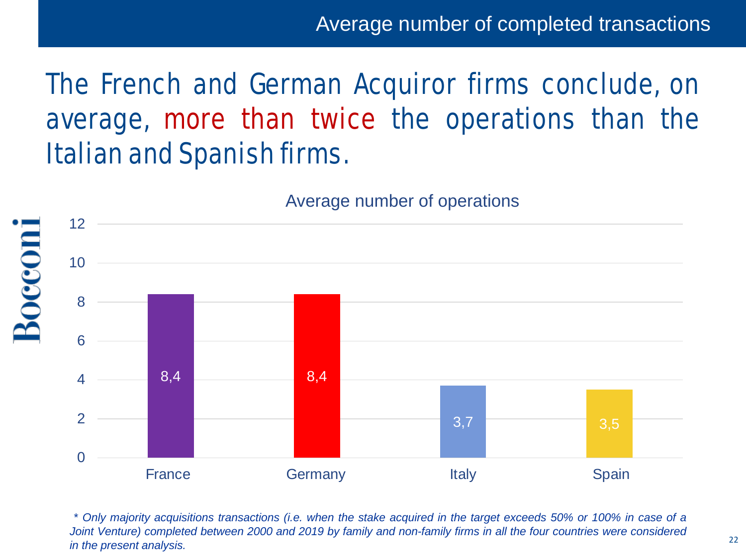Average number of completed transactions

# The French and German Acquiror firms conclude, on average, more than twice the operations than the Italian and Spanish firms.



Boccon

#### Average number of operations

\* Only majority acquisitions transactions (i.e. when the stake acquired in the target exceeds 50% or 100% in case of a Joint Venture) completed between 2000 and 2019 by family and non-family firms in all the four countries were considered *in the present analysis.*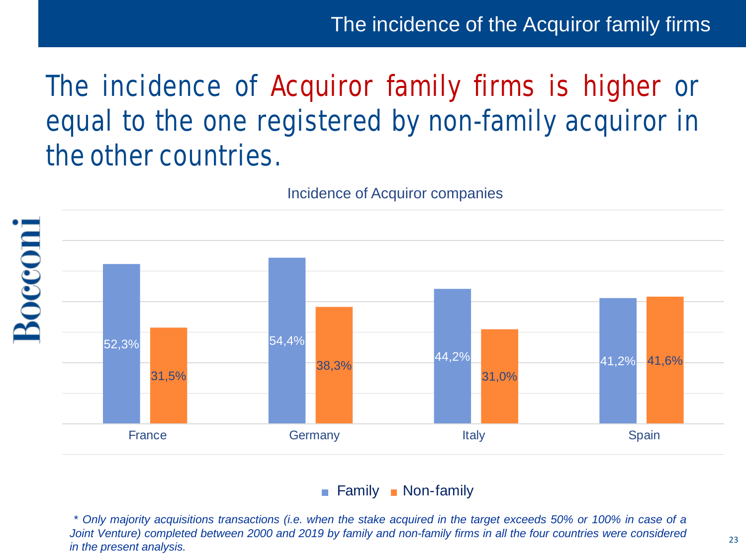The incidence of the Acquiror family firms

# The incidence of Acquiror family firms is higher or equal to the one registered by non-family acquiror in the other countries.



Incidence of Acquiror companies

#### Family Non-family

\* Only majority acquisitions transactions (i.e. when the stake acquired in the target exceeds 50% or 100% in case of a Joint Venture) completed between 2000 and 2019 by family and non-family firms in all the four countries were considered *in the present analysis.*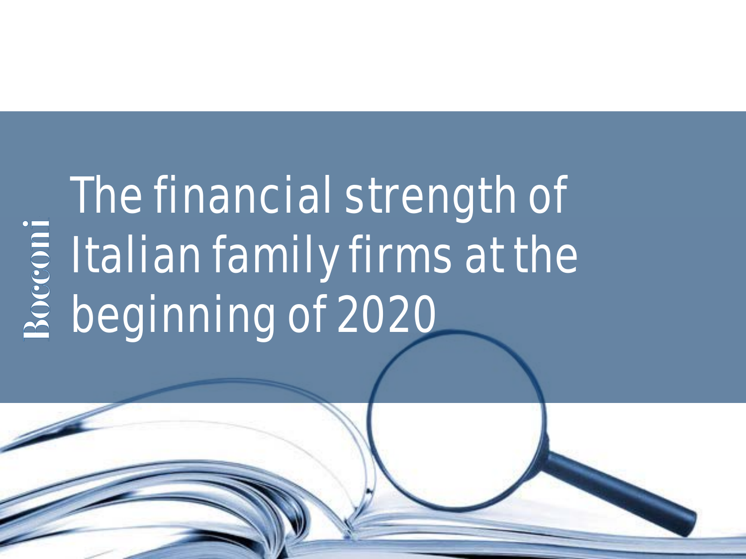# The financial strength of Italian family firms at the beginning of 2020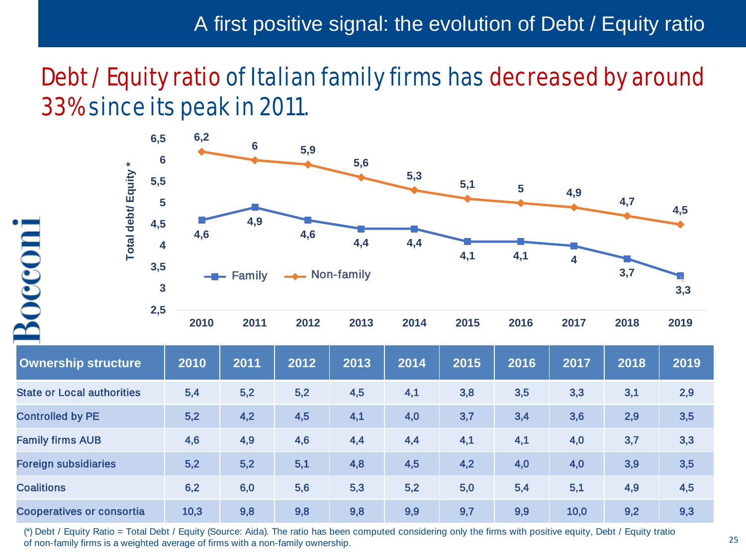### Debt / Equity ratio of Italian family firms has decreased by around 33% since its peak in 2011.



| <b>Ownership structure</b>        | 2010 | 2011 | 2012 | 2013 | 2014 | 2015 | 2016 | 2017 | 2018 | 2019 |
|-----------------------------------|------|------|------|------|------|------|------|------|------|------|
| <b>State or Local authorities</b> | 5,4  | 5,2  | 5,2  | 4,5  | 4,1  | 3,8  | 3,5  | 3,3  | 3,1  | 2,9  |
| <b>Controlled by PE</b>           | 5,2  | 4,2  | 4,5  | 4,1  | 4,0  | 3,7  | 3,4  | 3,6  | 2,9  | 3,5  |
| <b>Family firms AUB</b>           | 4,6  | 4,9  | 4,6  | 4,4  | 4,4  | 4,1  | 4,1  | 4,0  | 3,7  | 3,3  |
| <b>Foreign subsidiaries</b>       | 5,2  | 5,2  | 5,1  | 4,8  | 4,5  | 4,2  | 4,0  | 4,0  | 3,9  | 3,5  |
| <b>Coalitions</b>                 | 6,2  | 6,0  | 5,6  | 5,3  | 5,2  | 5,0  | 5,4  | 5,1  | 4,9  | 4,5  |
| <b>Cooperatives or consortia</b>  | 10,3 | 9,8  | 9,8  | 9,8  | 9,9  | 9,7  | 9,9  | 10,0 | 9,2  | 9,3  |

Boccon

(\*) Debt / Equity Ratio = Total Debt / Equity (Source: Aida). The ratio has been computed considering only the firms with positive equity, Debt / Equity tratio of non-family firms is a weighted average of firms with a non-family ownership.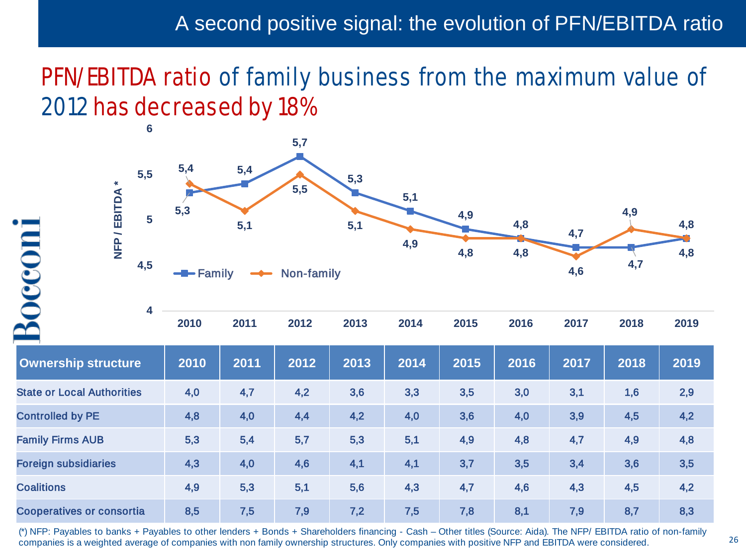### PFN/EBITDA ratio of family business from the maximum value of 2012 has decreased by 18%



| 2010 | 2011 |  | 2012 2013 2014 2015 2016 2017 |  | 2018 | 2019 |  |
|------|------|--|-------------------------------|--|------|------|--|
|      |      |  |                               |  |      |      |  |
|      |      |  |                               |  |      |      |  |

| <b>Ownership structure</b>        | 2010 | 2011 | 2012 | 2013 | 2014 | 2015 | 2016 | 2017 | 2018 | 2019 |
|-----------------------------------|------|------|------|------|------|------|------|------|------|------|
| <b>State or Local Authorities</b> | 4,0  | 4,7  | 4,2  | 3,6  | 3,3  | 3,5  | 3,0  | 3,1  | 1,6  | 2,9  |
| <b>Controlled by PE</b>           | 4,8  | 4,0  | 4,4  | 4,2  | 4,0  | 3,6  | 4,0  | 3,9  | 4,5  | 4,2  |
| <b>Family Firms AUB</b>           | 5,3  | 5,4  | 5,7  | 5,3  | 5,1  | 4,9  | 4,8  | 4,7  | 4,9  | 4,8  |
| <b>Foreign subsidiaries</b>       | 4,3  | 4,0  | 4,6  | 4,1  | 4,1  | 3,7  | 3,5  | 3,4  | 3,6  | 3,5  |
| <b>Coalitions</b>                 | 4,9  | 5,3  | 5,1  | 5,6  | 4,3  | 4,7  | 4,6  | 4,3  | 4,5  | 4,2  |
| <b>Cooperatives or consortia</b>  | 8,5  | 7,5  | 7,9  | 7,2  | 7,5  | 7,8  | 8,1  | 7,9  | 8,7  | 8,3  |

Boccom

(\*) NFP: Payables to banks + Payables to other lenders + Bonds + Shareholders financing - Cash – Other titles (Source: Aida). The NFP/ EBITDA ratio of non-family companies is a weighted average of companies with non family ownership structures. Only companies with positive NFP and EBITDA were considered.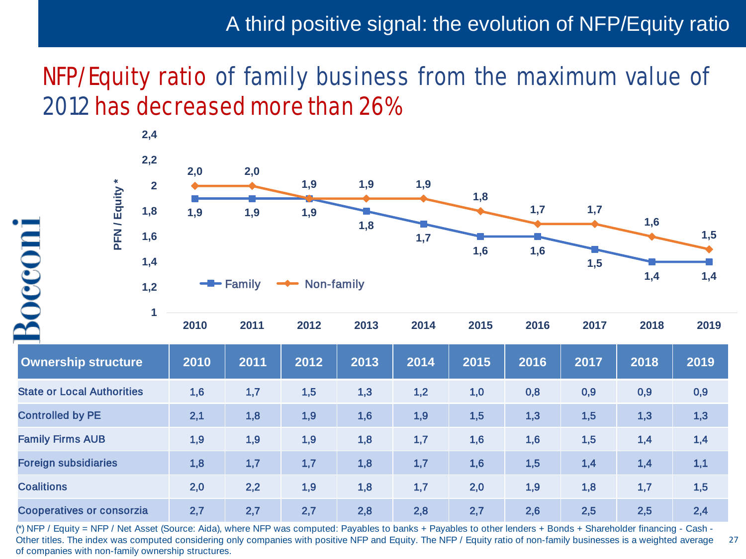### A third positive signal: the evolution of NFP/Equity ratio

27

### NFP/Equity ratio of family business from the maximum value of 2012 has decreased more than 26%



(\*) NFP / Equity = NFP / Net Asset (Source: Aida), where NFP was computed: Payables to banks + Payables to other lenders + Bonds + Shareholder financing - Cash - Other titles. The index was computed considering only companies with positive NFP and Equity. The NFP / Equity ratio of non-family businesses is a weighted average of companies with non-family ownership structures.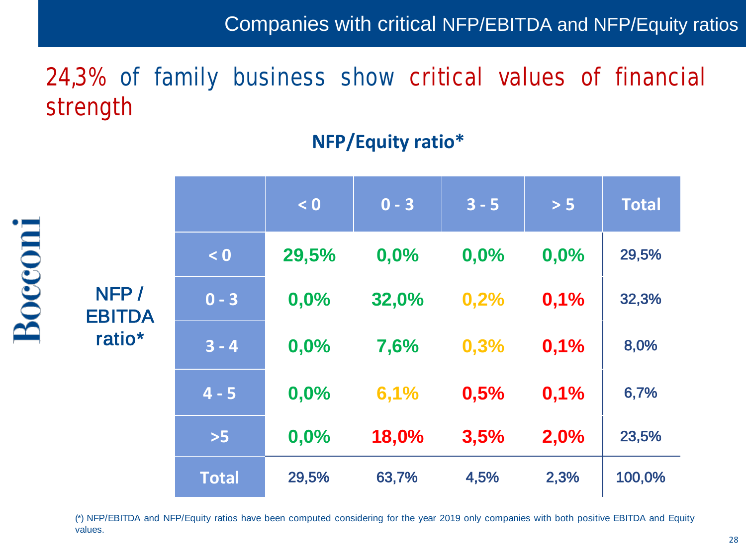Companies with critical NFP/EBITDA and NFP/Equity ratios

# 24,3% of family business show critical values of financial strength

|                       |              | < 0   | $0 - 3$ | $3 - 5$ | $> 5$ | <b>Total</b> |
|-----------------------|--------------|-------|---------|---------|-------|--------------|
|                       | < 0          | 29,5% | 0,0%    | 0,0%    | 0,0%  | 29,5%        |
| NFP/<br><b>EBITDA</b> | $0 - 3$      | 0,0%  | 32,0%   | 0,2%    | 0,1%  | 32,3%        |
| ratio <sup>*</sup>    | $3 - 4$      | 0,0%  | 7,6%    | 0,3%    | 0,1%  | 8,0%         |
|                       | $4 - 5$      | 0,0%  | 6,1%    | 0,5%    | 0,1%  | 6,7%         |
|                       | $>5$         | 0,0%  | 18,0%   | 3,5%    | 2,0%  | 23,5%        |
|                       | <b>Total</b> | 29,5% | 63,7%   | 4,5%    | 2,3%  | 100,0%       |

Bocconi

### **NFP/Equity ratio\***

(\*) NFP/EBITDA and NFP/Equity ratios have been computed considering for the year 2019 only companies with both positive EBITDA and Equity values.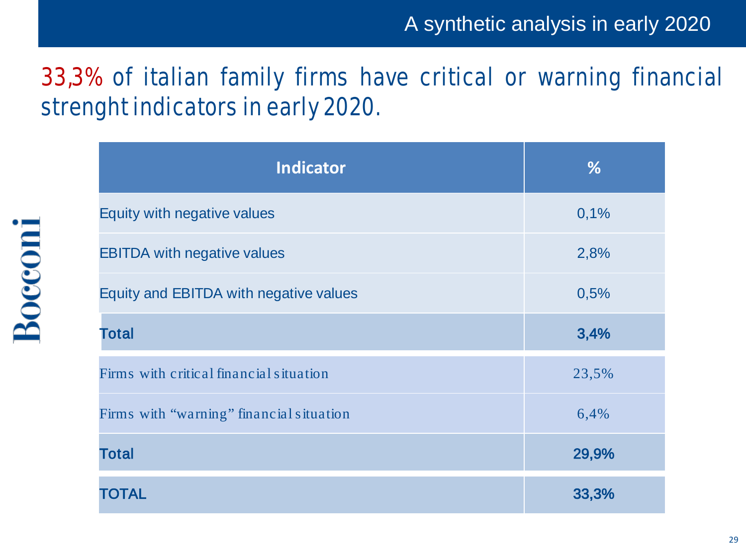# 33,3% of italian family firms have critical or warning financial strenght indicators in early 2020.

| <b>Indicator</b>                         | %     |
|------------------------------------------|-------|
| Equity with negative values              | 0,1%  |
| <b>EBITDA with negative values</b>       | 2,8%  |
| Equity and EBITDA with negative values   | 0,5%  |
| <b>Total</b>                             | 3,4%  |
| Firms with critical financial situation  | 23,5% |
| Firms with "warning" financial situation | 6,4%  |
| <b>Total</b>                             | 29,9% |
| <b>TOTAL</b>                             | 33,3% |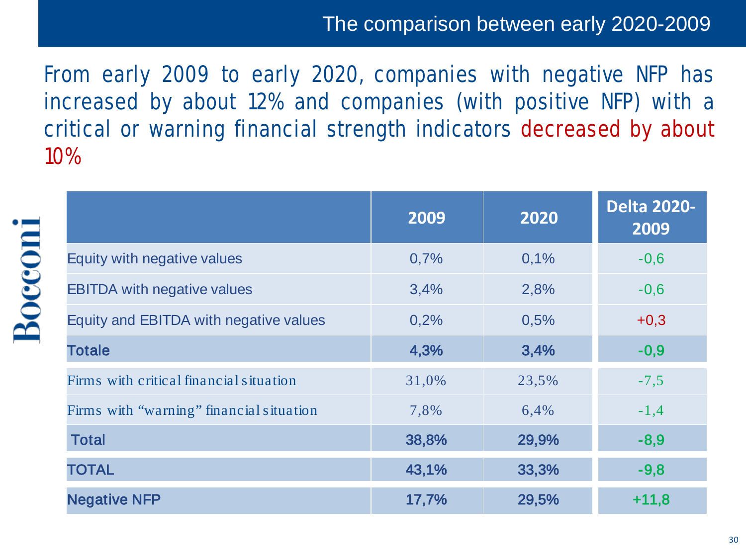### The comparison between early 2020-2009

From early 2009 to early 2020, companies with negative NFP has increased by about 12% and companies (with positive NFP) with a critical or warning financial strength indicators decreased by about 10%

|                                          | 2009  | 2020  | <b>Delta 2020-</b><br>2009 |
|------------------------------------------|-------|-------|----------------------------|
| Equity with negative values              | 0,7%  | 0,1%  | $-0,6$                     |
| <b>EBITDA with negative values</b>       | 3,4%  | 2,8%  | $-0,6$                     |
| Equity and EBITDA with negative values   | 0,2%  | 0,5%  | $+0,3$                     |
| <b>Totale</b>                            | 4,3%  | 3,4%  | $-0,9$                     |
| Firms with critical financial situation  | 31,0% | 23,5% | $-7,5$                     |
| Firms with "warning" financial situation | 7,8%  | 6,4%  | $-1,4$                     |
| <b>Total</b>                             | 38,8% | 29,9% | $-8,9$                     |
| <b>TOTAL</b>                             | 43,1% | 33,3% | $-9,8$                     |
| <b>Negative NFP</b>                      | 17,7% | 29,5% | $+11,8$                    |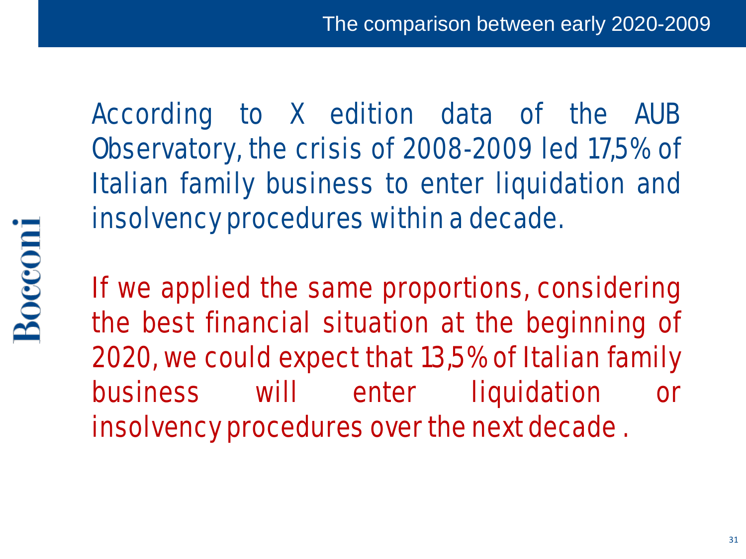According to X edition data of the AUB Observatory, the crisis of 2008-2009 led 17,5% of Italian family business to enter liquidation and insolvency procedures within a decade.

If we applied the same proportions, considering the best financial situation at the beginning of 2020, we could expect that 13,5% of Italian family business will enter liquidation or

insolvency procedures over the next decade.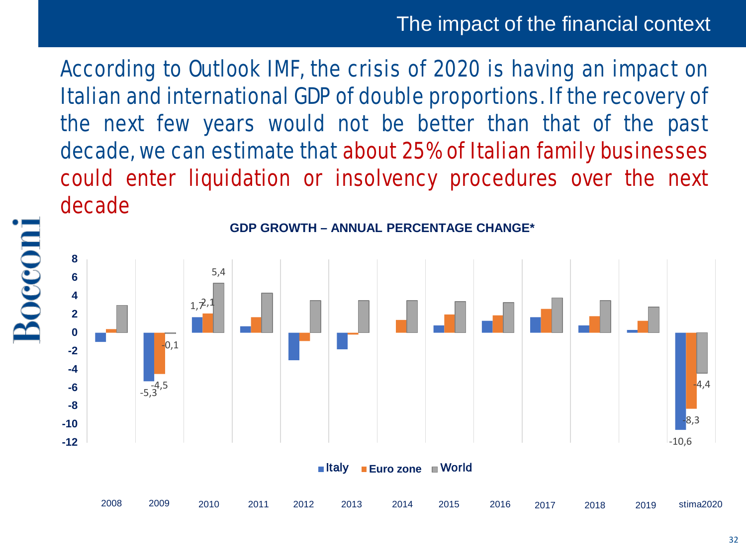According to Outlook IMF, the crisis of 2020 is having an impact on Italian and international GDP of double proportions. If the recovery of the next few years would not be better than that of the past decade, we can estimate that about 25% of Italian family businesses could enter liquidation or insolvency procedures over the next decade



**GDP GROWTH – ANNUAL PERCENTAGE CHANGE\***

Boccom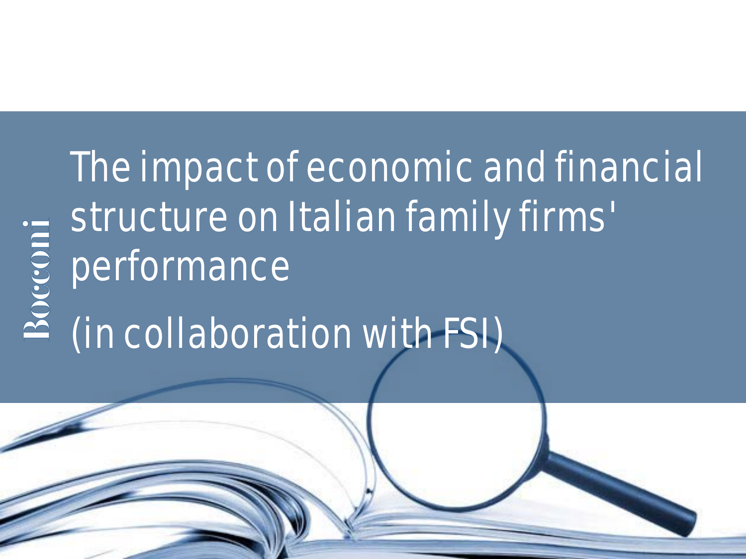# Bocconi

# The impact of economic and financial structure on Italian family firms' performance

# (in collaboration with FSI)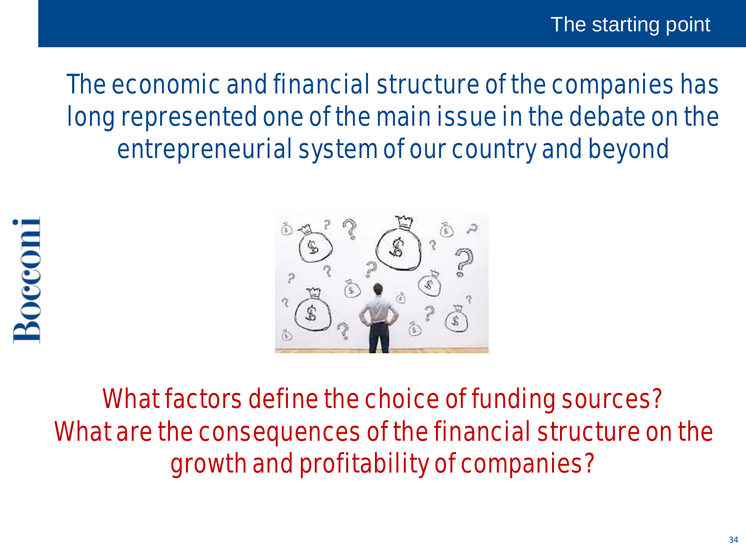# The economic and financial structure of the companies has long represented one of the main issue in the debate on the entrepreneurial system of our country and beyond



What factors define the choice of funding sources? What are the consequences of the financial structure on the growth and profitability of companies?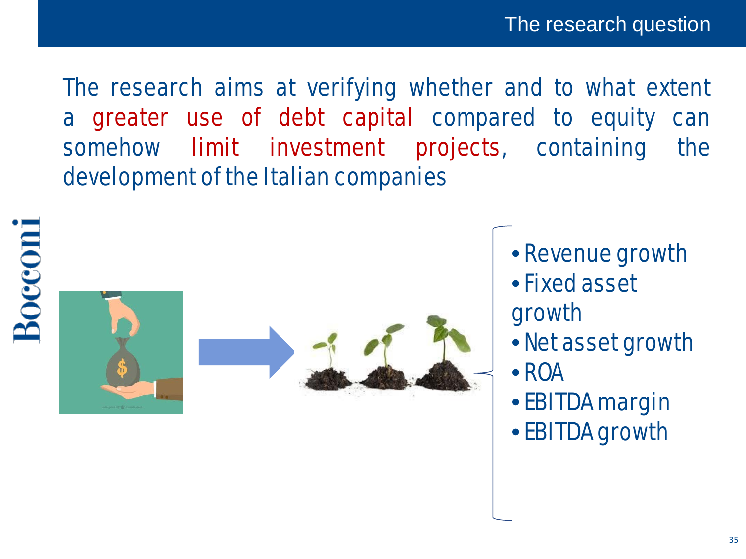The research aims at verifying whether and to what extent a greater use of debt capital compared to equity can somehow limit investment projects, containing the development of the Italian companies







- Revenue growth
- •Fixed asset growth
- Net asset growth
- ROA
- EBITDA margin
- EBITDA growth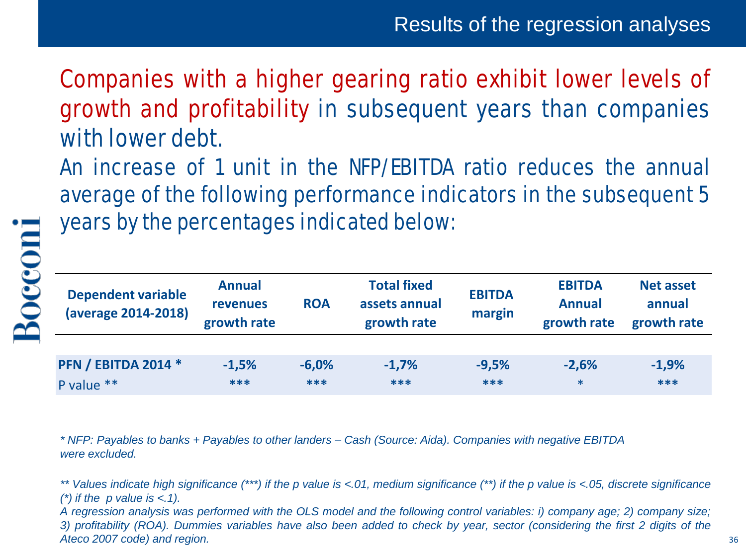Companies with a higher gearing ratio exhibit lower levels of growth and profitability in subsequent years than companies with lower debt.

An increase of 1 unit in the NFP/EBITDA ratio reduces the annual average of the following performance indicators in the subsequent 5 years by the percentages indicated below:

| <b>Dependent variable</b><br>(average 2014-2018) | <b>Annual</b><br><b>revenues</b><br>growth rate | <b>ROA</b> | <b>Total fixed</b><br>assets annual<br>growth rate | <b>EBITDA</b><br>margin | <b>EBITDA</b><br><b>Annual</b><br>growth rate | <b>Net asset</b><br>annual<br>growth rate |
|--------------------------------------------------|-------------------------------------------------|------------|----------------------------------------------------|-------------------------|-----------------------------------------------|-------------------------------------------|
|                                                  |                                                 |            |                                                    |                         |                                               |                                           |
| <b>PFN / EBITDA 2014 *</b>                       | $-1,5%$                                         | $-6,0%$    | $-1,7%$                                            | $-9,5%$                 | $-2,6%$                                       | $-1,9%$                                   |
| P value **                                       | ***                                             | $***$      | ***                                                | ***                     | $\ast$                                        | ***                                       |

*\* NFP: Payables to banks + Payables to other landers – Cash (Source: Aida). Companies with negative EBITDA were excluded.*

\*\* Values indicate high significance (\*\*\*) if the p value is <.01, medium significance (\*\*) if the p value is <.05, discrete significance *(\*) if the p value is <.1).*

A regression analysis was performed with the OLS model and the following control variables: i) company age; 2) company size; 3) profitability (ROA). Dummies variables have also been added to check by year, sector (considering the first 2 digits of the *Ateco 2007 code) and region.*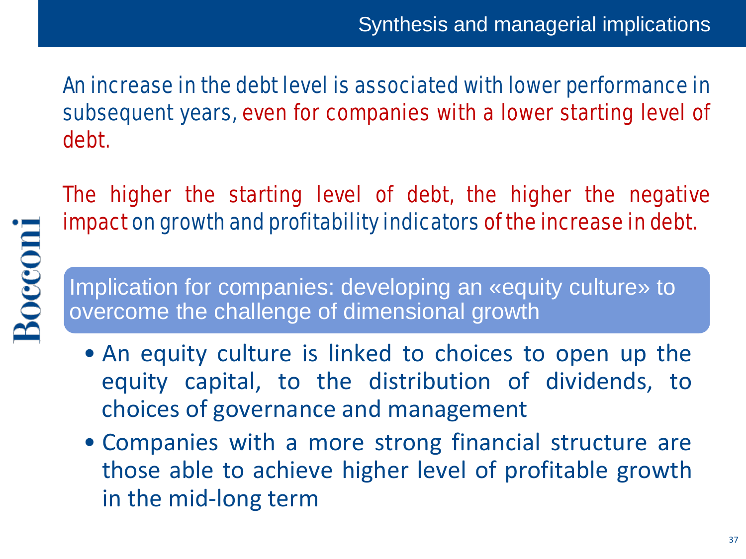An increase in the debt level is associated with lower performance in subsequent years, even for companies with a lower starting level of debt.

The higher the starting level of debt, the higher the negative impact on growth and profitability indicators of the increase in debt.

Implication for companies: developing an «equity culture» to overcome the challenge of dimensional growth

**Bocconi** 

- An equity culture is linked to choices to open up the equity capital, to the distribution of dividends, to choices of governance and management
- Companies with a more strong financial structure are those able to achieve higher level of profitable growth in the mid-long term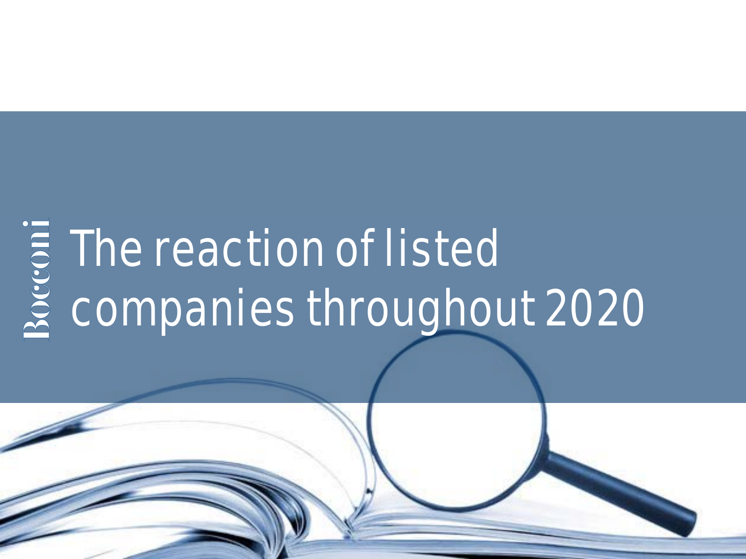# The reaction of listed companies throughout 2020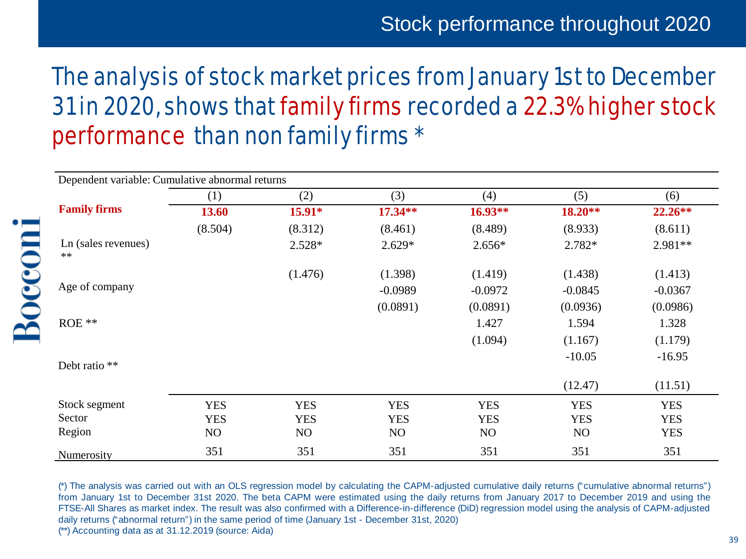# The analysis of stock market prices from January 1st to December 31in 2020, shows that family firms recorded a 22.3% higher stock performance than non family firms \*

| Dependent variable: Cumulative abnormal returns |            |            |            |            |            |            |  |
|-------------------------------------------------|------------|------------|------------|------------|------------|------------|--|
|                                                 | (1)        | (2)        | (3)        | (4)        | (5)        | (6)        |  |
| <b>Family firms</b>                             | 13.60      | 15.91*     | 17.34**    | 16.93**    | $18.20**$  | $22.26**$  |  |
|                                                 | (8.504)    | (8.312)    | (8.461)    | (8.489)    | (8.933)    | (8.611)    |  |
| Ln (sales revenues)<br>$\ast\ast$               |            | 2.528*     | $2.629*$   | $2.656*$   | 2.782*     | $2.981**$  |  |
|                                                 |            | (1.476)    | (1.398)    | (1.419)    | (1.438)    | (1.413)    |  |
| Age of company                                  |            |            | $-0.0989$  | $-0.0972$  | $-0.0845$  | $-0.0367$  |  |
|                                                 |            |            | (0.0891)   | (0.0891)   | (0.0936)   | (0.0986)   |  |
| $ROE$ **                                        |            |            |            | 1.427      | 1.594      | 1.328      |  |
|                                                 |            |            |            | (1.094)    | (1.167)    | (1.179)    |  |
| Debt ratio **                                   |            |            |            |            | $-10.05$   | $-16.95$   |  |
|                                                 |            |            |            |            |            |            |  |
|                                                 |            |            |            |            | (12.47)    | (11.51)    |  |
| Stock segment                                   | <b>YES</b> | <b>YES</b> | <b>YES</b> | <b>YES</b> | <b>YES</b> | <b>YES</b> |  |
| Sector                                          | <b>YES</b> | <b>YES</b> | <b>YES</b> | <b>YES</b> | <b>YES</b> | <b>YES</b> |  |
| Region                                          | NO         | NO         | NO         | NO         | NO         | <b>YES</b> |  |
| Numerosity                                      | 351        | 351        | 351        | 351        | 351        | 351        |  |

Bocconi

(\*) The analysis was carried out with an OLS regression model by calculating the CAPM-adjusted cumulative daily returns ("cumulative abnormal returns") from January 1st to December 31st 2020. The beta CAPM were estimated using the daily returns from January 2017 to December 2019 and using the FTSE-All Shares as market index. The result was also confirmed with a Difference-in-difference (DiD) regression model using the analysis of CAPM-adjusted daily returns ("abnormal return") in the same period of time (January 1st - December 31st, 2020) (\*\*) Accounting data as at 31.12.2019 (source: Aida)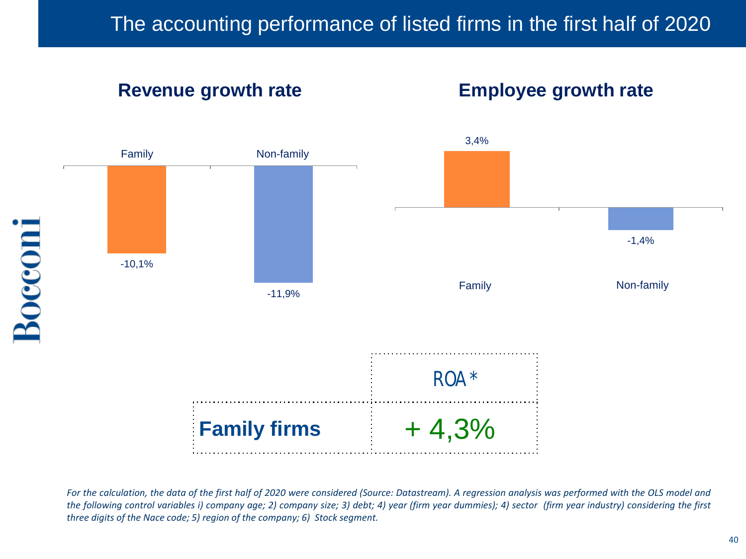# **Tasso di crescita dei ricavi**

#### **Employee growth rate dipendenti Revenue growth rate Employee growth rate**



For the calculation, the data of the first half of 2020 were considered (Source: Datastream). A regression analysis was performed with the OLS model and the following control variables i) company age; 2) company size; 3) debt; 4) year (firm year dummies); 4) sector (firm year industry) considering the first *three digits of the Nace code; 5) region of the company; 6) Stock segment.*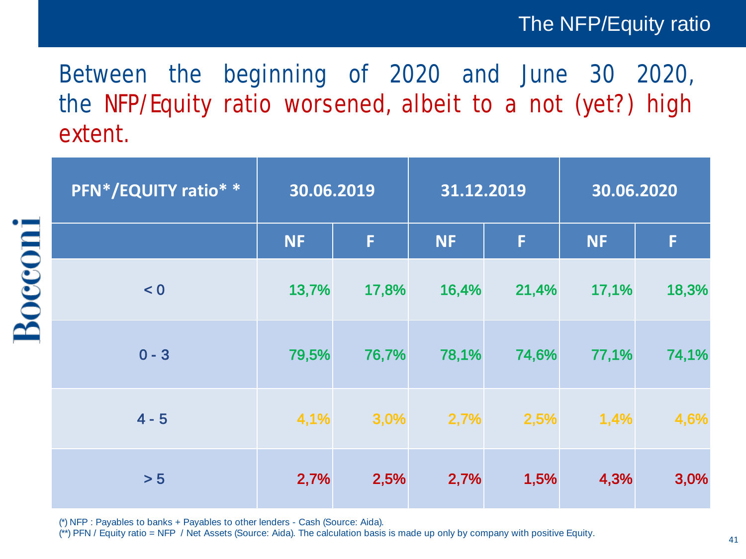#### The NFP/Equity ratio

# Between the beginning of 2020 and June 30 2020, the NFP/Equity ratio worsened, albeit to a not (yet?) high extent.

|                | PFN*/EQUITY ratio* * | 30.06.2019 |       | 31.12.2019 |       | 30.06.2020 |       |
|----------------|----------------------|------------|-------|------------|-------|------------|-------|
|                |                      | <b>NF</b>  | F     | <b>NF</b>  | F     | <b>NF</b>  | F     |
| <b>Bocconi</b> | < 0                  | 13,7%      | 17,8% | 16,4%      | 21,4% | 17,1%      | 18,3% |
|                | $0 - 3$              | 79,5%      | 76,7% | 78,1%      | 74,6% | 77,1%      | 74,1% |
|                | $4 - 5$              | 4,1%       | 3,0%  | 2,7%       | 2,5%  | 1,4%       | 4,6%  |
|                | > 5                  | 2,7%       | 2,5%  | 2,7%       | 1,5%  | 4,3%       | 3,0%  |

(\*) NFP : Payables to banks + Payables to other lenders - Cash (Source: Aida).

(\*\*) PFN / Equity ratio = NFP / Net Assets (Source: Aida). The calculation basis is made up only by company with positive Equity.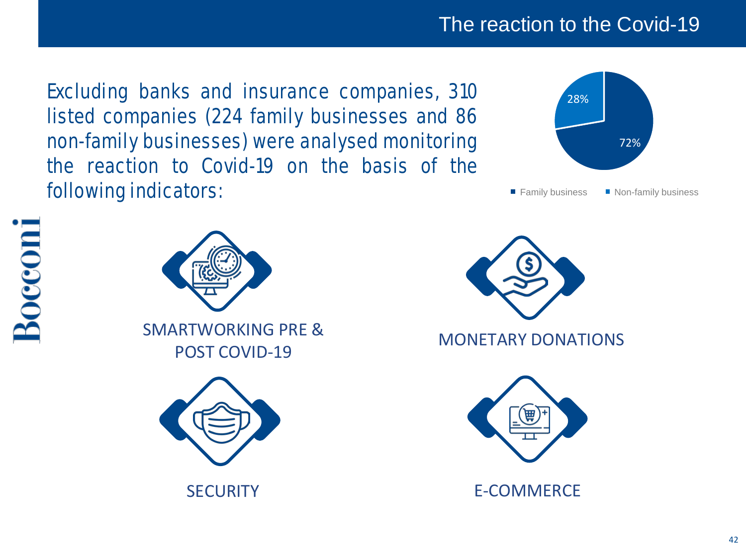### The reaction to the Covid-19

Excluding banks and insurance companies, 310 listed companies (224 family businesses and 86 non-family businesses) were analysed monitoring the reaction to Covid-19 on the basis of the following indicators:













SECURITY **E-COMMERCE**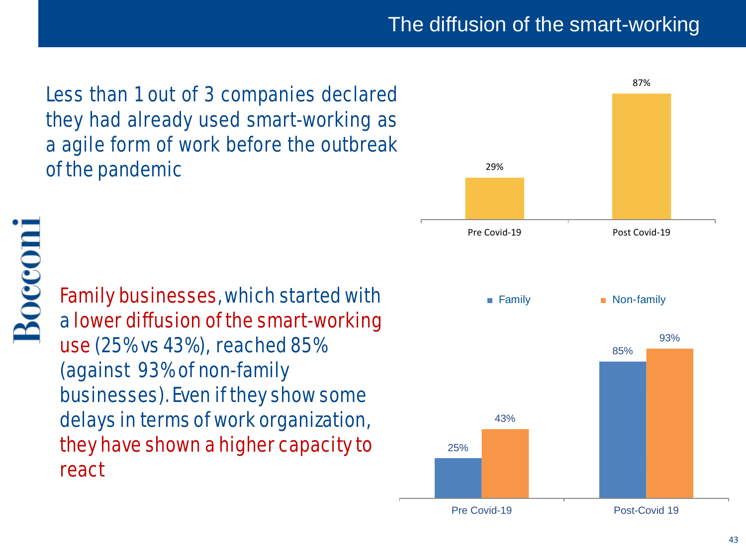The diffusion of the smart-working

Less than 1 out of 3 companies declared they had already used smart-working as a agile form of work before the outbreak of the pandemic 29%



Family businesses, which started with a lower diffusion of the smart-working use (25% vs 43%), reached 85% (against 93% of non-family businesses). Even if they show some delays in terms of work organization, they have shown a higher capacity to react

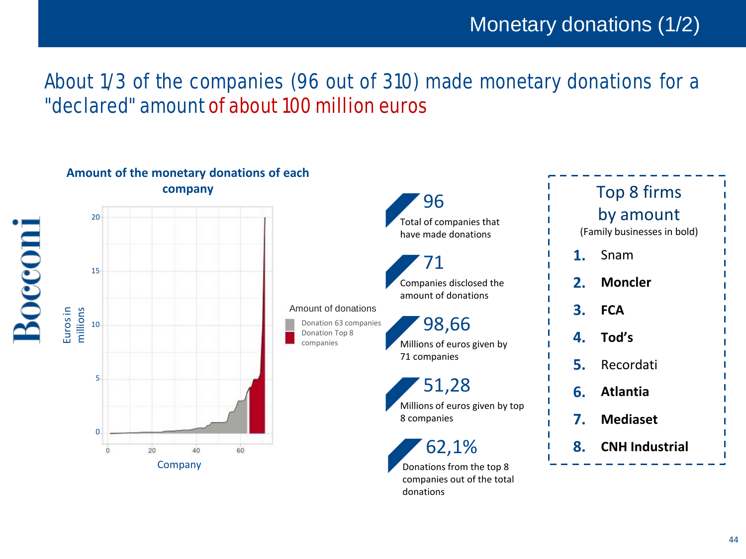### About 1/3 of the companies (96 out of 310) made monetary donations for a "declared" amount of about 100 million euros

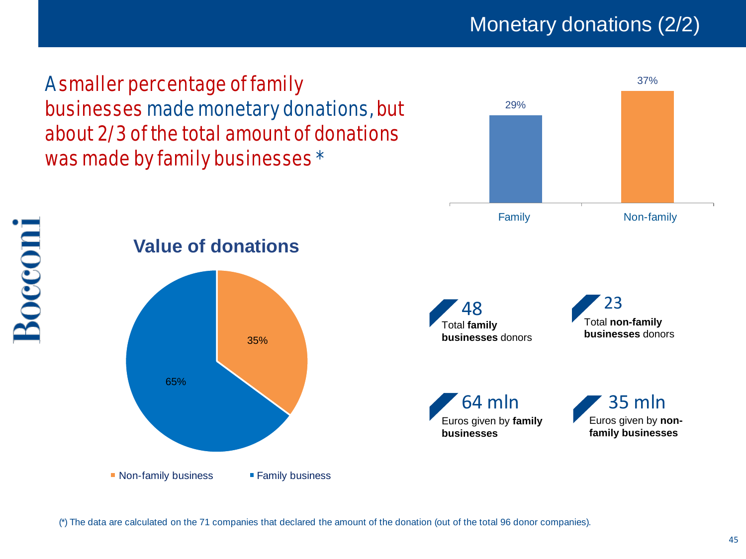Monetary donations (2/2)

37%

29%

A smaller percentage of family businesses made monetary donations, but about 2/3 of the total amount of donations was made by family businesses \*





(\*) The data are calculated on the 71 companies that declared the amount of the donation (out of the total 96 donor companies).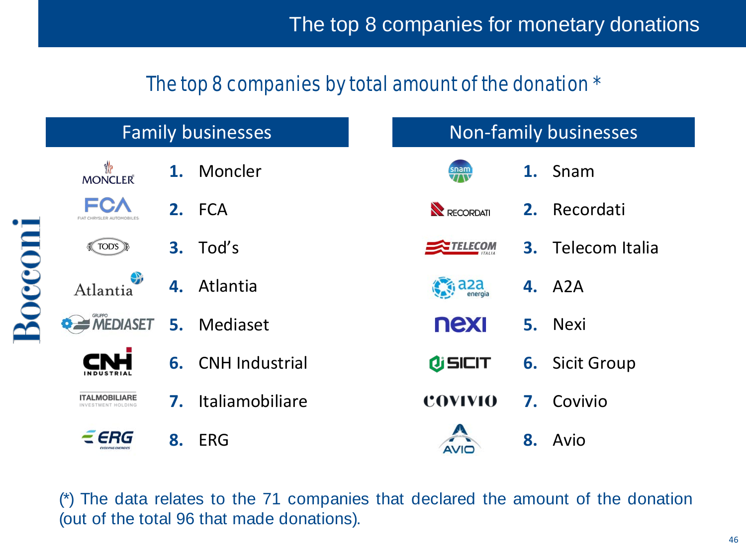### The top 8 companies by total amount of the donation \*

|                                            |    | <b>Family businesses</b> |  |                               |    | <b>Non-family businesses</b> |
|--------------------------------------------|----|--------------------------|--|-------------------------------|----|------------------------------|
| ₩<br><b>MONCLER</b>                        |    | 1. Moncler               |  | snam<br>///                   |    | 1. Snam                      |
| <b>FCA</b><br>FIAT CHRYSLER AUTOMORILES    |    | 2. FCA                   |  | RECORDATI                     |    | 2. Recordati                 |
| <b>A</b> TOD'S                             | 3. | Tod's                    |  | TELECOM                       |    | <b>3.</b> Telecom Italia     |
| Atlantia                                   |    | 4. Atlantia              |  | $\epsilon$ <sub>i</sub> a 2 a |    | <b>4.</b> A2A                |
| <b>O AMEDIASET</b>                         |    | 5. Mediaset              |  | nexi                          |    | 5. Nexi                      |
|                                            |    | 6. CNH Industrial        |  | <b><i>OSICIT</i></b>          | 6. | <b>Sicit Group</b>           |
| <b>ITALMOBILIARE</b><br>INVESTMENT HOLDING | 7. | Italiamobiliare          |  | <b>COVIVIO</b>                |    | 7. Covivio                   |
| ERG                                        | 8. | <b>ERG</b>               |  |                               | 8. | Avio                         |

(\*) The data relates to the 71 companies that declared the amount of the donation (out of the total 96 that made donations).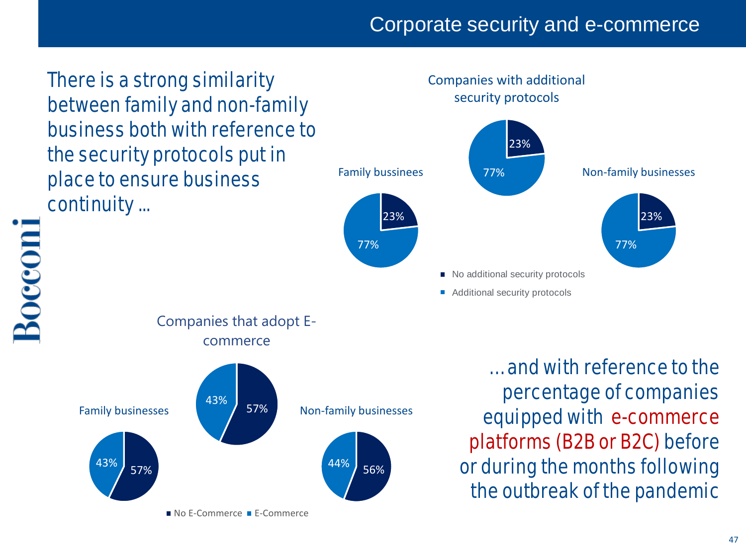### Corporate security and e-commerce

There is a strong similarity between family and non-family business both with reference to the security protocols put in place to ensure business continuity ...

Companies with additional security protocols



Bocconi





… and with reference to the percentage of companies equipped with e-commerce platforms (B2B or B2C) before or during the months following the outbreak of the pandemic